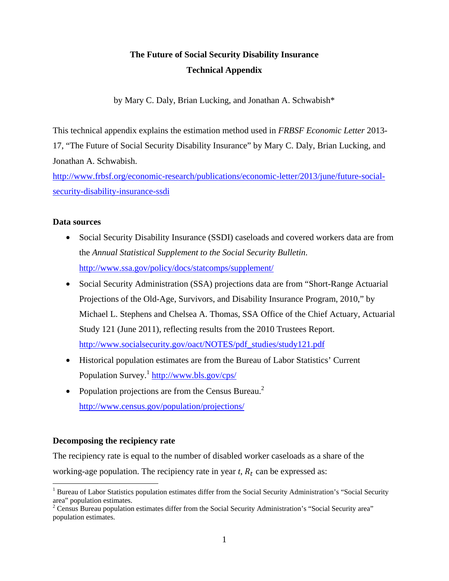# **The Future of Social Security Disability Insurance Technical Appendix**

by Mary C. Daly, Brian Lucking, and Jonathan A. Schwabish\*

This technical appendix explains the estimation method used in *FRBSF Economic Letter* 2013- 17, "The Future of Social Security Disability Insurance" by Mary C. Daly, Brian Lucking, and Jonathan A. Schwabish.

http://www.frbsf.org/economic-research/publications/economic-letter/2013/june/future-socialsecurity-disability-insurance-ssdi

## **Data sources**

- Social Security Disability Insurance (SSDI) caseloads and covered workers data are from the *Annual Statistical Supplement to the Social Security Bulletin*. http://www.ssa.gov/policy/docs/statcomps/supplement/
- Social Security Administration (SSA) projections data are from "Short-Range Actuarial Projections of the Old-Age, Survivors, and Disability Insurance Program, 2010," by Michael L. Stephens and Chelsea A. Thomas, SSA Office of the Chief Actuary, Actuarial Study 121 (June 2011), reflecting results from the 2010 Trustees Report. http://www.socialsecurity.gov/oact/NOTES/pdf\_studies/study121.pdf
- Historical population estimates are from the Bureau of Labor Statistics' Current Population Survey.1 http://www.bls.gov/cps/
- Population projections are from the Census Bureau.<sup>2</sup> http://www.census.gov/population/projections/

## **Decomposing the recipiency rate**

 $\overline{a}$ 

The recipiency rate is equal to the number of disabled worker caseloads as a share of the working-age population. The recipiency rate in year  $t$ ,  $R_t$  can be expressed as:

<sup>&</sup>lt;sup>1</sup> Bureau of Labor Statistics population estimates differ from the Social Security Administration's "Social Security area" population estimates.

<sup>&</sup>lt;sup>2</sup> Census Bureau population estimates differ from the Social Security Administration's "Social Security area" population estimates.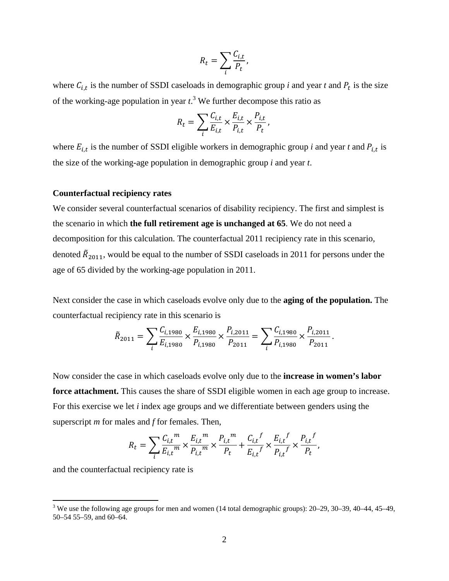$$
R_t = \sum_i \frac{C_{i,t}}{P_t},
$$

where  $C_{i,t}$  is the number of SSDI caseloads in demographic group *i* and year *t* and  $P_t$  is the size of the working-age population in year  $t^3$ . We further decompose this ratio as

$$
R_t = \sum_i \frac{C_{i,t}}{E_{i,t}} \times \frac{E_{i,t}}{P_{i,t}} \times \frac{P_{i,t}}{P_t},
$$

where  $E_{i,t}$  is the number of SSDI eligible workers in demographic group *i* and year *t* and  $P_{i,t}$  is the size of the working-age population in demographic group *i* and year *t*.

## **Counterfactual recipiency rates**

We consider several counterfactual scenarios of disability recipiency. The first and simplest is the scenario in which **the full retirement age is unchanged at 65**. We do not need a decomposition for this calculation. The counterfactual 2011 recipiency rate in this scenario, denoted  $\tilde{R}_{2011}$ , would be equal to the number of SSDI caseloads in 2011 for persons under the age of 65 divided by the working-age population in 2011.

Next consider the case in which caseloads evolve only due to the **aging of the population.** The counterfactual recipiency rate in this scenario is

$$
\tilde{R}_{2011} = \sum_{i} \frac{C_{i,1980}}{E_{i,1980}} \times \frac{E_{i,1980}}{P_{i,1980}} \times \frac{P_{i,2011}}{P_{2011}} = \sum_{i} \frac{C_{i,1980}}{P_{i,1980}} \times \frac{P_{i,2011}}{P_{2011}}.
$$

Now consider the case in which caseloads evolve only due to the **increase in women's labor**  force attachment. This causes the share of SSDI eligible women in each age group to increase. For this exercise we let *i* index age groups and we differentiate between genders using the superscript *m* for males and *f* for females. Then,

$$
R_t = \sum_{i} \frac{C_{i,t}^{m}}{E_{i,t}^{m}} \times \frac{E_{i,t}^{m}}{P_{i,t}^{m}} \times \frac{P_{i,t}^{m}}{P_t} + \frac{C_{i,t}^{f}}{E_{i,t}^{f}} \times \frac{E_{i,t}^{f}}{P_{i,t}^{f}} \times \frac{P_{i,t}^{f}}{P_t},
$$

and the counterfactual recipiency rate is

 $\overline{a}$ 

<sup>&</sup>lt;sup>3</sup> We use the following age groups for men and women (14 total demographic groups):  $20-29$ ,  $30-39$ ,  $40-44$ ,  $45-49$ , 50–54 55–59, and 60–64.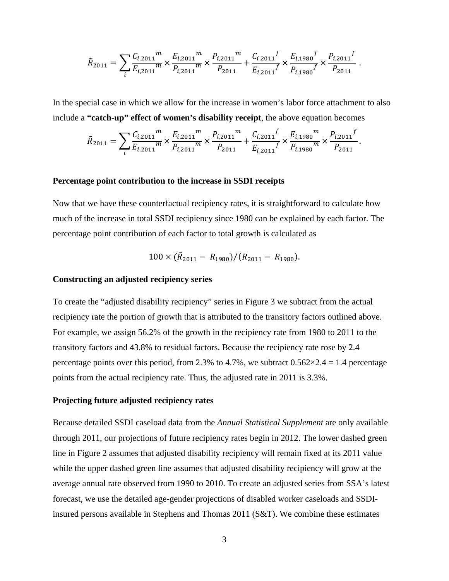$$
\tilde{R}_{2011} = \sum_{i} \frac{C_{i,2011}^{m}}{E_{i,2011}^{m}} \times \frac{E_{i,2011}^{m}}{P_{i,2011}^{m}} \times \frac{P_{i,2011}^{m}}{P_{2011}} + \frac{C_{i,2011}^{f}}{E_{i,2011}^{f}} \times \frac{E_{i,1980}^{f}}{P_{i,1980}^{f}} \times \frac{P_{i,2011}^{f}}{P_{2011}}.
$$

In the special case in which we allow for the increase in women's labor force attachment to also include a **"catch-up" effect of women's disability receipt**, the above equation becomes

$$
\tilde{R}_{2011} = \sum_{i} \frac{C_{i,2011}^{m}}{E_{i,2011}^{m}} \times \frac{E_{i,2011}^{m}}{P_{i,2011}^{m}} \times \frac{P_{i,2011}^{m}}{P_{2011}} + \frac{C_{i,2011}^{f}}{E_{i,2011}^{f}} \times \frac{E_{i,1980}^{m}}{P_{i,1980}^{m}} \times \frac{P_{i,2011}^{f}}{P_{2011}}.
$$

### **Percentage point contribution to the increase in SSDI receipts**

Now that we have these counterfactual recipiency rates, it is straightforward to calculate how much of the increase in total SSDI recipiency since 1980 can be explained by each factor. The percentage point contribution of each factor to total growth is calculated as

$$
100 \times (\tilde{R}_{2011} - R_{1980})/(R_{2011} - R_{1980}).
$$

### **Constructing an adjusted recipiency series**

To create the "adjusted disability recipiency" series in Figure 3 we subtract from the actual recipiency rate the portion of growth that is attributed to the transitory factors outlined above. For example, we assign 56.2% of the growth in the recipiency rate from 1980 to 2011 to the transitory factors and 43.8% to residual factors. Because the recipiency rate rose by 2.4 percentage points over this period, from 2.3% to 4.7%, we subtract  $0.562 \times 2.4 = 1.4$  percentage points from the actual recipiency rate. Thus, the adjusted rate in 2011 is 3.3%.

#### **Projecting future adjusted recipiency rates**

Because detailed SSDI caseload data from the *Annual Statistical Supplement* are only available through 2011, our projections of future recipiency rates begin in 2012. The lower dashed green line in Figure 2 assumes that adjusted disability recipiency will remain fixed at its 2011 value while the upper dashed green line assumes that adjusted disability recipiency will grow at the average annual rate observed from 1990 to 2010. To create an adjusted series from SSA's latest forecast, we use the detailed age-gender projections of disabled worker caseloads and SSDIinsured persons available in Stephens and Thomas 2011 (S&T). We combine these estimates